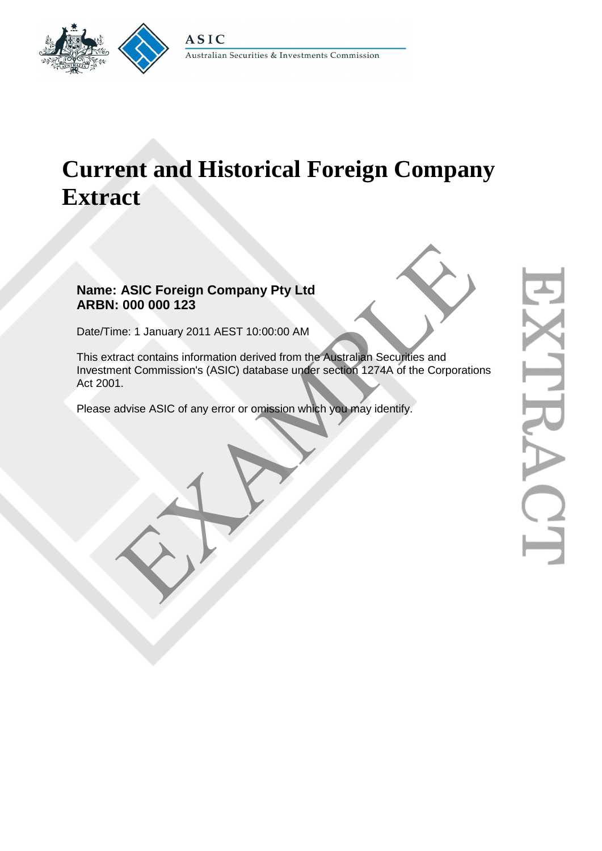

# **Current and Historical Foreign Company Extract**

## **Name: ASIC Foreign Company Pty Ltd ARBN: 000 000 123**

Date/Time: 1 January 2011 AEST 10:00:00 AM

This extract contains information derived from the Australian Securities and Investment Commission's (ASIC) database under section 1274A of the Corporations Act 2001. ASIC Foreign Company Pty Ltd<br>
1.000 000 123<br>
The: 1 January 2011 AEST 10:00:00 AM<br>
Tract contains information derived from the Australian Securities and<br>
ent Commission's (ASIC) database under section 1274A of the Corporat

Please advise ASIC of any error or omission which you may identify.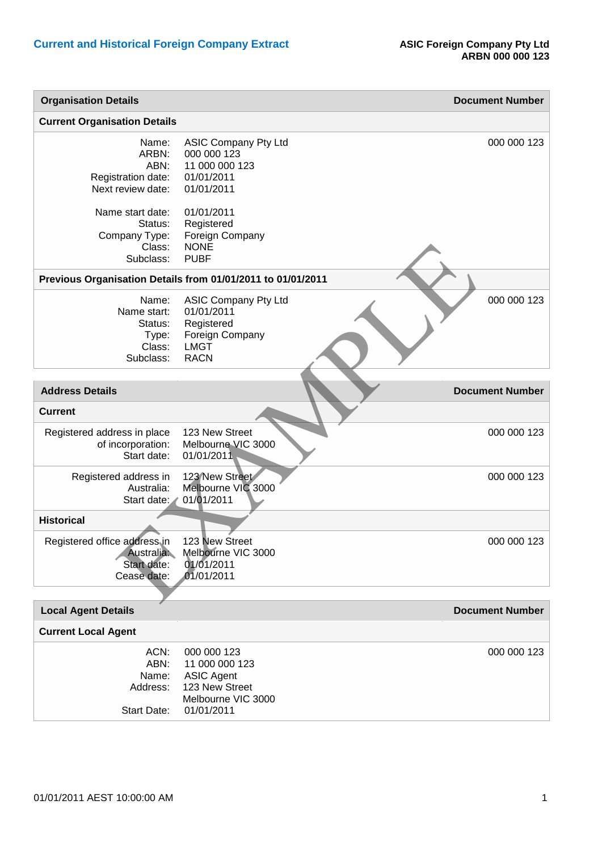| <b>Organisation Details</b>                                                                                                              |                                                                                                                                                                       | <b>Document Number</b> |
|------------------------------------------------------------------------------------------------------------------------------------------|-----------------------------------------------------------------------------------------------------------------------------------------------------------------------|------------------------|
| <b>Current Organisation Details</b>                                                                                                      |                                                                                                                                                                       |                        |
| Name:<br>ARBN:<br>ABN:<br>Registration date:<br>Next review date:<br>Name start date:<br>Status:<br>Company Type:<br>Class:<br>Subclass: | <b>ASIC Company Pty Ltd</b><br>000 000 123<br>11 000 000 123<br>01/01/2011<br>01/01/2011<br>01/01/2011<br>Registered<br>Foreign Company<br><b>NONE</b><br><b>PUBF</b> | 000 000 123            |
| Previous Organisation Details from 01/01/2011 to 01/01/2011                                                                              |                                                                                                                                                                       |                        |
| Name:<br>Name start:<br>Status:<br>Type:<br>Class:<br>Subclass:                                                                          | <b>ASIC Company Pty Ltd</b><br>01/01/2011<br>Registered<br>Foreign Company<br><b>LMGT</b><br><b>RACN</b>                                                              | 000 000 123            |
|                                                                                                                                          |                                                                                                                                                                       |                        |
| <b>Address Details</b>                                                                                                                   |                                                                                                                                                                       | <b>Document Number</b> |
| <b>Current</b>                                                                                                                           |                                                                                                                                                                       |                        |
| Registered address in place<br>of incorporation:<br>Start date:                                                                          | 123 New Street<br>Melbourne VIC 3000<br>01/01/2011                                                                                                                    | 000 000 123            |
| Registered address in<br>Australia:<br>Start date:                                                                                       | 123 New Street<br>Melbourne VIC 3000<br>01/01/2011                                                                                                                    | 000 000 123            |
| <b>Historical</b>                                                                                                                        |                                                                                                                                                                       |                        |
| Registered office address in<br>Australia:<br>Start date:<br>Cease date:                                                                 | 123 New Street<br>Melbourne VIC 3000<br>01/01/2011<br>01/01/2011                                                                                                      | 000 000 123            |
|                                                                                                                                          |                                                                                                                                                                       |                        |
| <b>Local Agent Details</b>                                                                                                               |                                                                                                                                                                       | <b>Document Number</b> |
| <b>Current Local Agent</b>                                                                                                               |                                                                                                                                                                       |                        |
| ACN:<br>ABN:<br>Name:<br>Address:<br><b>Start Date:</b>                                                                                  | 000 000 123<br>11 000 000 123<br><b>ASIC Agent</b><br>123 New Street<br>Melbourne VIC 3000<br>01/01/2011                                                              | 000 000 123            |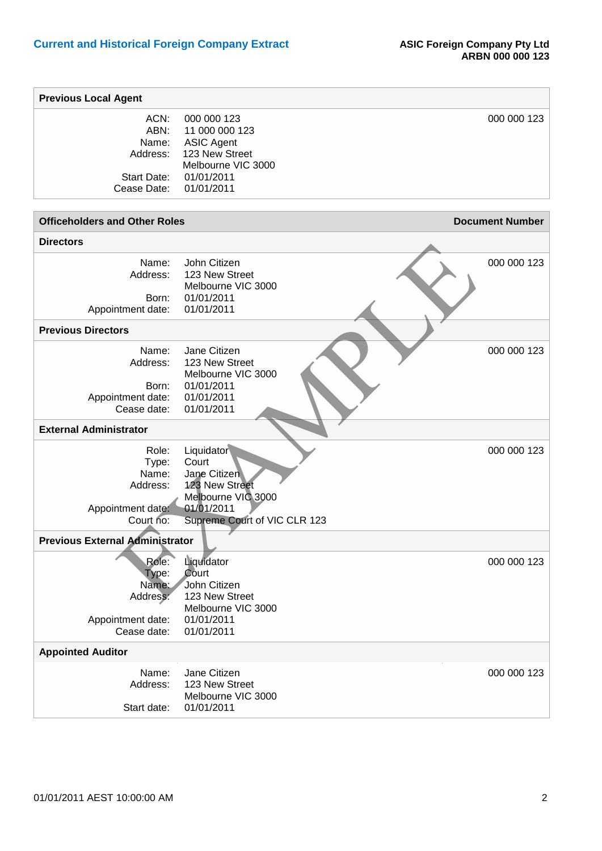| <b>Previous Local Agent</b>                                             |                                                                                                                           |                        |
|-------------------------------------------------------------------------|---------------------------------------------------------------------------------------------------------------------------|------------------------|
| ACN:<br>ABN:<br>Name:<br>Address:<br>Start Date:<br>Cease Date:         | 000 000 123<br>11 000 000 123<br><b>ASIC Agent</b><br>123 New Street<br>Melbourne VIC 3000<br>01/01/2011<br>01/01/2011    | 000 000 123            |
| <b>Officeholders and Other Roles</b>                                    |                                                                                                                           | <b>Document Number</b> |
| <b>Directors</b>                                                        |                                                                                                                           |                        |
| Name:<br>Address:<br>Born:<br>Appointment date:                         | John Citizen<br>123 New Street<br>Melbourne VIC 3000<br>01/01/2011<br>01/01/2011                                          | 000 000 123            |
| <b>Previous Directors</b>                                               |                                                                                                                           |                        |
| Name:<br>Address:<br>Born:<br>Appointment date:<br>Cease date:          | Jane Citizen<br>123 New Street<br>Melbourne VIC 3000<br>01/01/2011<br>01/01/2011<br>01/01/2011                            | 000 000 123            |
| <b>External Administrator</b>                                           |                                                                                                                           |                        |
| Role:<br>Type:<br>Name:<br>Address:<br>Appointment date:<br>Court no:   | Liquidator<br>Court<br>Jane Citizen<br>123 New Street<br>Melbourne VIC 3000<br>01/01/2011<br>Supreme Court of VIC CLR 123 | 000 000 123            |
| <b>Previous External Administrator</b>                                  |                                                                                                                           |                        |
| Role:<br>Type:<br>Name:<br>Address:<br>Appointment date:<br>Cease date: | Liquidator<br>Court<br>John Citizen<br>123 New Street<br>Melbourne VIC 3000<br>01/01/2011<br>01/01/2011                   | 000 000 123            |
| <b>Appointed Auditor</b>                                                |                                                                                                                           |                        |
| Name:<br>Address:<br>Start date:                                        | Jane Citizen<br>123 New Street<br>Melbourne VIC 3000<br>01/01/2011                                                        | 000 000 123            |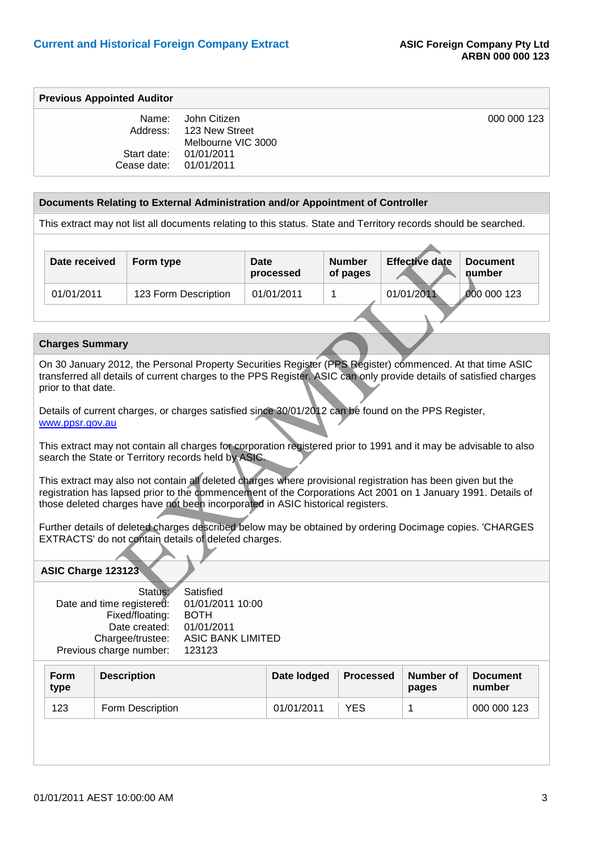000 000 123

#### **Previous Appointed Auditor**

|                        | Name: John Citizen      |
|------------------------|-------------------------|
|                        | Address: 123 New Street |
|                        | Melbourne VIC 3000      |
| Start date:            | 01/01/2011              |
| Cease date: 01/01/2011 |                         |

#### **Documents Relating to External Administration and/or Appointment of Controller**

This extract may not list all documents relating to this status. State and Territory records should be searched.

|            | Date received          | Form type                                                                                                                                                                                                                                                                                                                              | <b>Date</b><br>processed | <b>Number</b><br>of pages | <b>Effective date</b> | <b>Document</b><br>number |
|------------|------------------------|----------------------------------------------------------------------------------------------------------------------------------------------------------------------------------------------------------------------------------------------------------------------------------------------------------------------------------------|--------------------------|---------------------------|-----------------------|---------------------------|
| 01/01/2011 |                        | 123 Form Description                                                                                                                                                                                                                                                                                                                   | 01/01/2011               | 1                         | 01/01/2011            | 000 000 123               |
|            |                        |                                                                                                                                                                                                                                                                                                                                        |                          |                           |                       |                           |
|            |                        |                                                                                                                                                                                                                                                                                                                                        |                          |                           |                       |                           |
|            | <b>Charges Summary</b> |                                                                                                                                                                                                                                                                                                                                        |                          |                           |                       |                           |
|            | prior to that date.    | On 30 January 2012, the Personal Property Securities Register (PPS Register) commenced. At that time ASIC<br>transferred all details of current charges to the PPS Register. ASIC can only provide details of satisfied charges<br>Details of current charges, or charges satisfied since 30/01/2012 can be found on the PPS Register, |                          |                           |                       |                           |
|            | www.ppsr.gov.au        |                                                                                                                                                                                                                                                                                                                                        |                          |                           |                       |                           |
|            |                        | This extract may not contain all charges for corporation registered prior to 1991 and it may be advisable to also<br>search the State or Territory records held by ASIC.                                                                                                                                                               |                          |                           |                       |                           |
|            |                        | This extract may also not contain all deleted charges where provisional registration has been given but the<br>registration has lapsed prior to the commencement of the Corporations Act 2001 on 1 January 1991. Details of<br>those deleted charges have not been incorporated in ASIC historical registers.                          |                          |                           |                       |                           |
|            |                        | Further details of deleted charges described below may be obtained by ordering Docimage copies. 'CHARGES<br>EXTRACTS' do not contain details of deleted charges.                                                                                                                                                                       |                          |                           |                       |                           |
|            | ASIC Charge 123123     |                                                                                                                                                                                                                                                                                                                                        |                          |                           |                       |                           |
|            |                        | Status:<br>Satisfied<br>01/01/2011 10:00<br>Date and time registered:                                                                                                                                                                                                                                                                  |                          |                           |                       |                           |

#### **Charges Summary**

#### **ASIC Charge 123123**

| Status:                   | Satisfied                |
|---------------------------|--------------------------|
| Date and time registered: | 01/01/2011 10:00         |
| Fixed/floating:           | <b>BOTH</b>              |
| Date created:             | 01/01/2011               |
| Chargee/trustee:          | <b>ASIC BANK LIMITED</b> |
| Previous charge number:   | 123123                   |

| <b>Form</b><br>type | <b>Description</b> | Date lodged | Processed | Number of<br>pages | <b>Document</b><br>number |  |
|---------------------|--------------------|-------------|-----------|--------------------|---------------------------|--|
| 123                 | Form Description   | 01/01/2011  | YES       |                    | 000 000 123               |  |